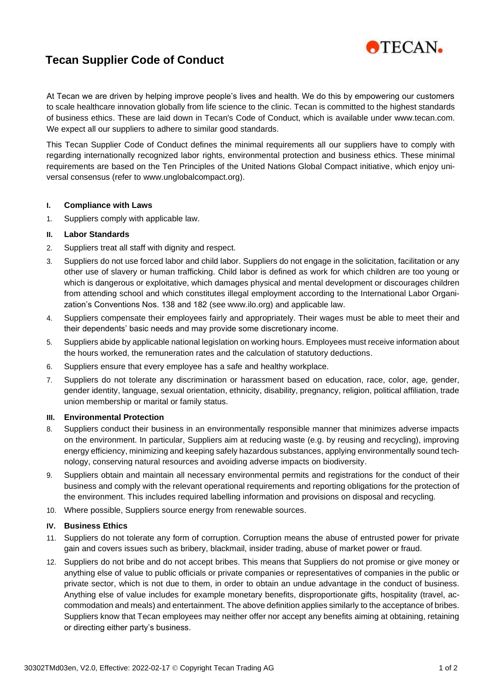

# **Tecan Supplier Code of Conduct**

At Tecan we are driven by helping improve people's lives and health. We do this by empowering our customers to scale healthcare innovation globally from life science to the clinic. Tecan is committed to the highest standards of business ethics. These are laid down in Tecan's Code of Conduct, which is available under [www.tecan.com.](http://www.tecan.com/) We expect all our suppliers to adhere to similar good standards.

This Tecan Supplier Code of Conduct defines the minimal requirements all our suppliers have to comply with regarding internationally recognized labor rights, environmental protection and business ethics. These minimal requirements are based on the Ten Principles of the United Nations Global Compact initiative, which enjoy universal consensus (refer to www.unglobalcompact.org).

#### **I. Compliance with Laws**

1. Suppliers comply with applicable law.

## **II. Labor Standards**

- 2. Suppliers treat all staff with dignity and respect.
- 3. Suppliers do not use forced labor and child labor. Suppliers do not engage in the solicitation, facilitation or any other use of slavery or human trafficking. Child labor is defined as work for which children are too young or which is dangerous or exploitative, which damages physical and mental development or discourages children from attending school and which constitutes illegal employment according to the International Labor Organization's Conventions Nos. 138 and 182 (see www.ilo.org) and applicable law.
- 4. Suppliers compensate their employees fairly and appropriately. Their wages must be able to meet their and their dependents' basic needs and may provide some discretionary income.
- 5. Suppliers abide by applicable national legislation on working hours. Employees must receive information about the hours worked, the remuneration rates and the calculation of statutory deductions.
- 6. Suppliers ensure that every employee has a safe and healthy workplace.
- 7. Suppliers do not tolerate any discrimination or harassment based on education, race, color, age, gender, gender identity, language, sexual orientation, ethnicity, disability, pregnancy, religion, political affiliation, trade union membership or marital or family status.

## **III. Environmental Protection**

- 8. Suppliers conduct their business in an environmentally responsible manner that minimizes adverse impacts on the environment. In particular, Suppliers aim at reducing waste (e.g. by reusing and recycling), improving energy efficiency, minimizing and keeping safely hazardous substances, applying environmentally sound technology, conserving natural resources and avoiding adverse impacts on biodiversity.
- 9. Suppliers obtain and maintain all necessary environmental permits and registrations for the conduct of their business and comply with the relevant operational requirements and reporting obligations for the protection of the environment. This includes required labelling information and provisions on disposal and recycling.
- 10. Where possible, Suppliers source energy from renewable sources.

## **IV. Business Ethics**

- 11. Suppliers do not tolerate any form of corruption. Corruption means the abuse of entrusted power for private gain and covers issues such as bribery, blackmail, insider trading, abuse of market power or fraud.
- 12. Suppliers do not bribe and do not accept bribes. This means that Suppliers do not promise or give money or anything else of value to public officials or private companies or representatives of companies in the public or private sector, which is not due to them, in order to obtain an undue advantage in the conduct of business. Anything else of value includes for example monetary benefits, disproportionate gifts, hospitality (travel, accommodation and meals) and entertainment. The above definition applies similarly to the acceptance of bribes. Suppliers know that Tecan employees may neither offer nor accept any benefits aiming at obtaining, retaining or directing either party's business.